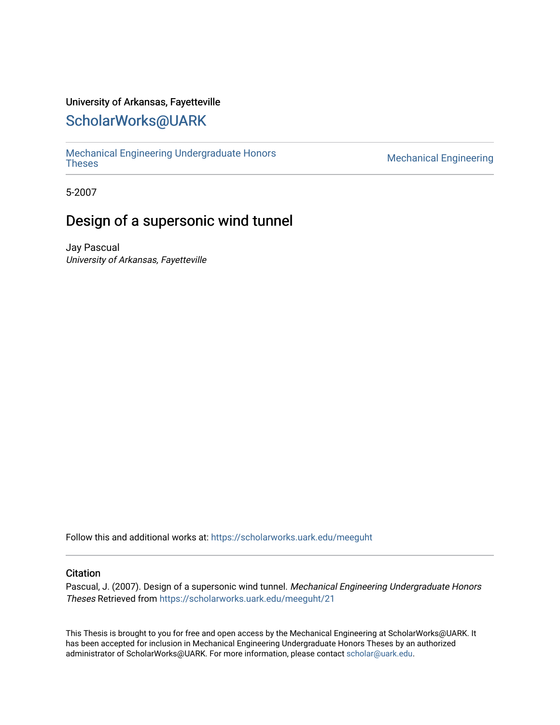### University of Arkansas, Fayetteville

# [ScholarWorks@UARK](https://scholarworks.uark.edu/)

[Mechanical Engineering Undergraduate Honors](https://scholarworks.uark.edu/meeguht)

**Mechanical Engineering** 

5-2007

# Design of a supersonic wind tunnel

Jay Pascual University of Arkansas, Fayetteville

Follow this and additional works at: [https://scholarworks.uark.edu/meeguht](https://scholarworks.uark.edu/meeguht?utm_source=scholarworks.uark.edu%2Fmeeguht%2F21&utm_medium=PDF&utm_campaign=PDFCoverPages) 

#### **Citation**

Pascual, J. (2007). Design of a supersonic wind tunnel. Mechanical Engineering Undergraduate Honors Theses Retrieved from [https://scholarworks.uark.edu/meeguht/21](https://scholarworks.uark.edu/meeguht/21?utm_source=scholarworks.uark.edu%2Fmeeguht%2F21&utm_medium=PDF&utm_campaign=PDFCoverPages) 

This Thesis is brought to you for free and open access by the Mechanical Engineering at ScholarWorks@UARK. It has been accepted for inclusion in Mechanical Engineering Undergraduate Honors Theses by an authorized administrator of ScholarWorks@UARK. For more information, please contact [scholar@uark.edu](mailto:scholar@uark.edu).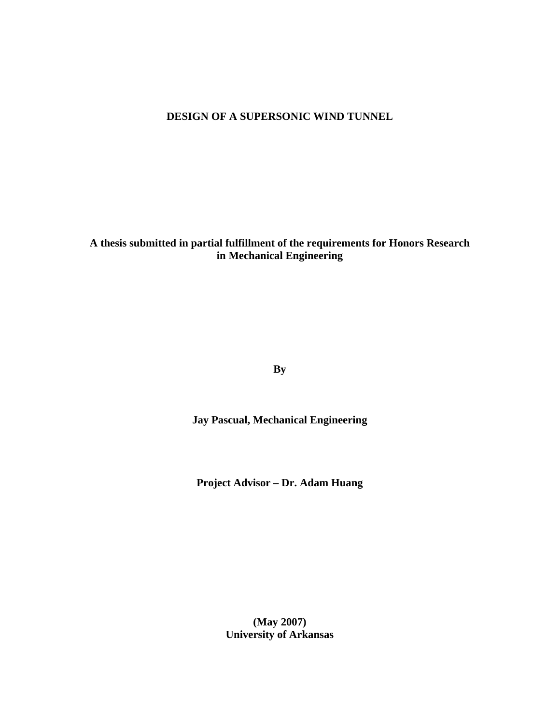## **DESIGN OF A SUPERSONIC WIND TUNNEL**

**A thesis submitted in partial fulfillment of the requirements for Honors Research in Mechanical Engineering** 

**By** 

**Jay Pascual, Mechanical Engineering** 

**Project Advisor – Dr. Adam Huang** 

**(May 2007) University of Arkansas**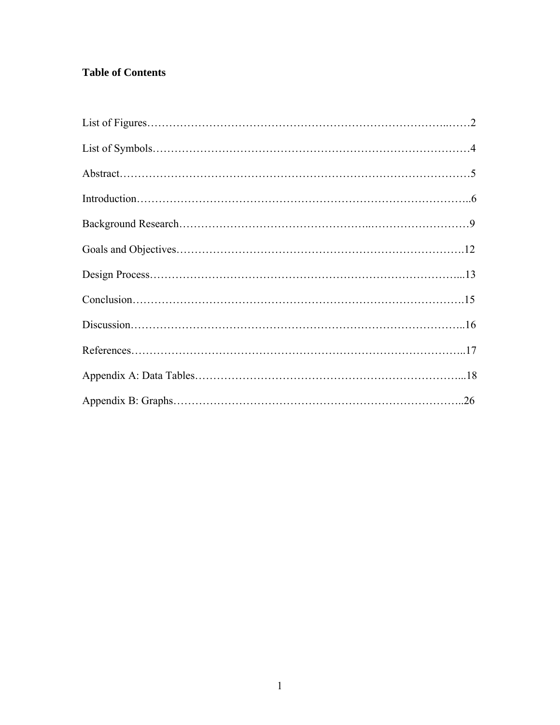# **Table of Contents**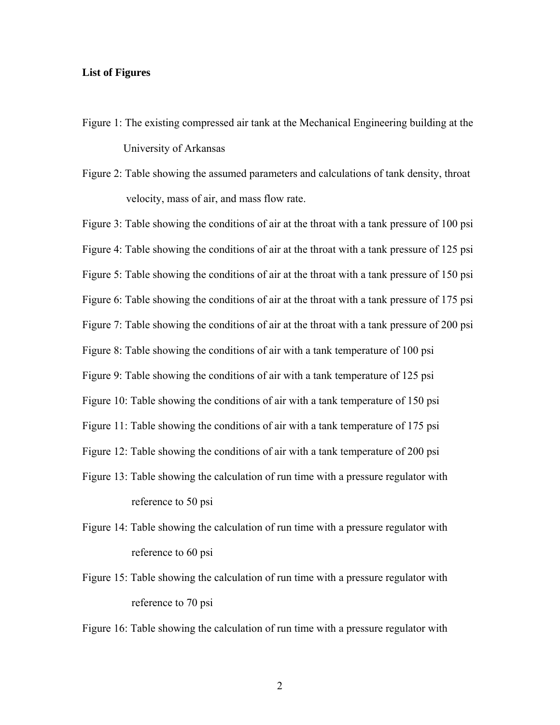#### **List of Figures**

- Figure 1: The existing compressed air tank at the Mechanical Engineering building at the University of Arkansas
- Figure 2: Table showing the assumed parameters and calculations of tank density, throat velocity, mass of air, and mass flow rate.

Figure 3: Table showing the conditions of air at the throat with a tank pressure of 100 psi Figure 4: Table showing the conditions of air at the throat with a tank pressure of 125 psi Figure 5: Table showing the conditions of air at the throat with a tank pressure of 150 psi Figure 6: Table showing the conditions of air at the throat with a tank pressure of 175 psi Figure 7: Table showing the conditions of air at the throat with a tank pressure of 200 psi Figure 8: Table showing the conditions of air with a tank temperature of 100 psi Figure 9: Table showing the conditions of air with a tank temperature of 125 psi Figure 10: Table showing the conditions of air with a tank temperature of 150 psi Figure 11: Table showing the conditions of air with a tank temperature of 175 psi Figure 12: Table showing the conditions of air with a tank temperature of 200 psi Figure 13: Table showing the calculation of run time with a pressure regulator with reference to 50 psi

- Figure 14: Table showing the calculation of run time with a pressure regulator with reference to 60 psi
- Figure 15: Table showing the calculation of run time with a pressure regulator with reference to 70 psi

Figure 16: Table showing the calculation of run time with a pressure regulator with

2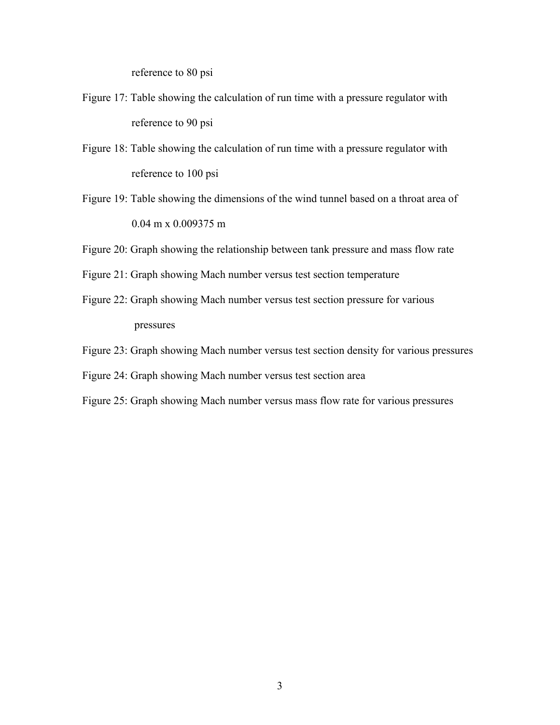reference to 80 psi

- Figure 17: Table showing the calculation of run time with a pressure regulator with reference to 90 psi
- Figure 18: Table showing the calculation of run time with a pressure regulator with reference to 100 psi
- Figure 19: Table showing the dimensions of the wind tunnel based on a throat area of 0.04 m x 0.009375 m
- Figure 20: Graph showing the relationship between tank pressure and mass flow rate
- Figure 21: Graph showing Mach number versus test section temperature
- Figure 22: Graph showing Mach number versus test section pressure for various pressures
- Figure 23: Graph showing Mach number versus test section density for various pressures
- Figure 24: Graph showing Mach number versus test section area
- Figure 25: Graph showing Mach number versus mass flow rate for various pressures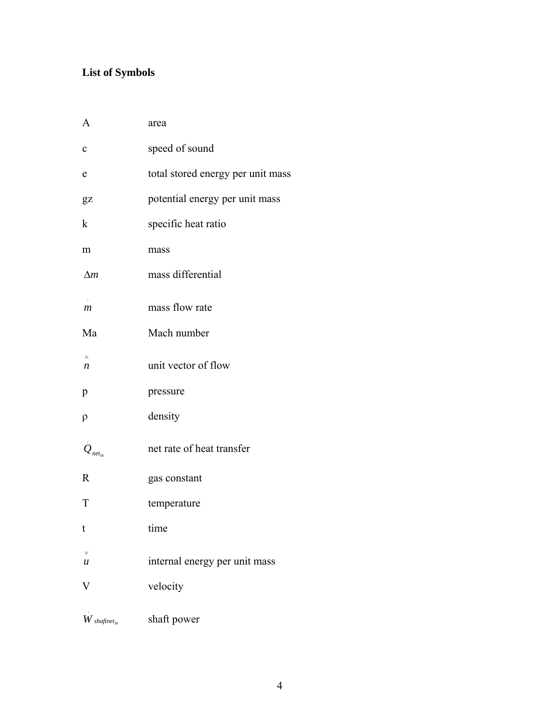# **List of Symbols**

| A                                       | area                              |
|-----------------------------------------|-----------------------------------|
| $\mathbf c$                             | speed of sound                    |
| e                                       | total stored energy per unit mass |
| $\overline{\mathbf{g}}\mathbf{z}$       | potential energy per unit mass    |
| k                                       | specific heat ratio               |
| m                                       | mass                              |
| $\Delta m$                              | mass differential                 |
| $\boldsymbol{m}$                        | mass flow rate                    |
| Ma                                      | Mach number                       |
| $\boldsymbol{n}$                        | unit vector of flow               |
| p                                       | pressure                          |
| ρ                                       | density                           |
| $Q_{net_{in}}$                          | net rate of heat transfer         |
| R                                       | gas constant                      |
| T                                       | temperature                       |
| t                                       | time                              |
| u                                       | internal energy per unit mass     |
| $\rm V$                                 | velocity                          |
| $\boldsymbol{W}$ shaftnet <sub>in</sub> | shaft power                       |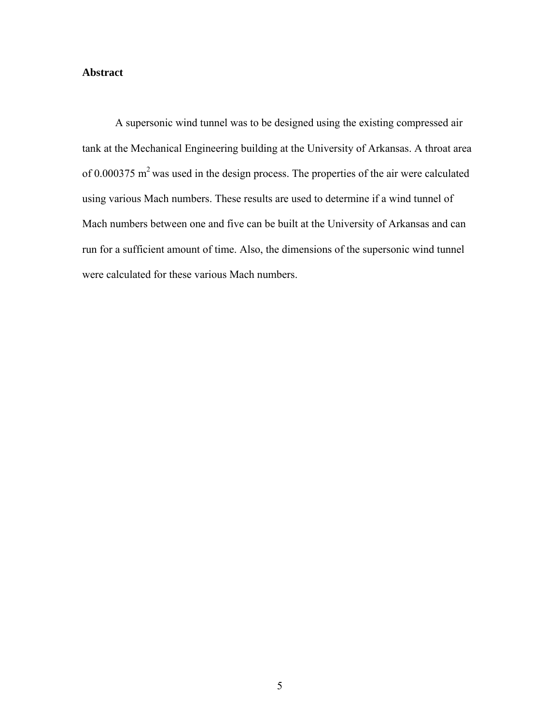### **Abstract**

A supersonic wind tunnel was to be designed using the existing compressed air tank at the Mechanical Engineering building at the University of Arkansas. A throat area of 0.000375  $m<sup>2</sup>$  was used in the design process. The properties of the air were calculated using various Mach numbers. These results are used to determine if a wind tunnel of Mach numbers between one and five can be built at the University of Arkansas and can run for a sufficient amount of time. Also, the dimensions of the supersonic wind tunnel were calculated for these various Mach numbers.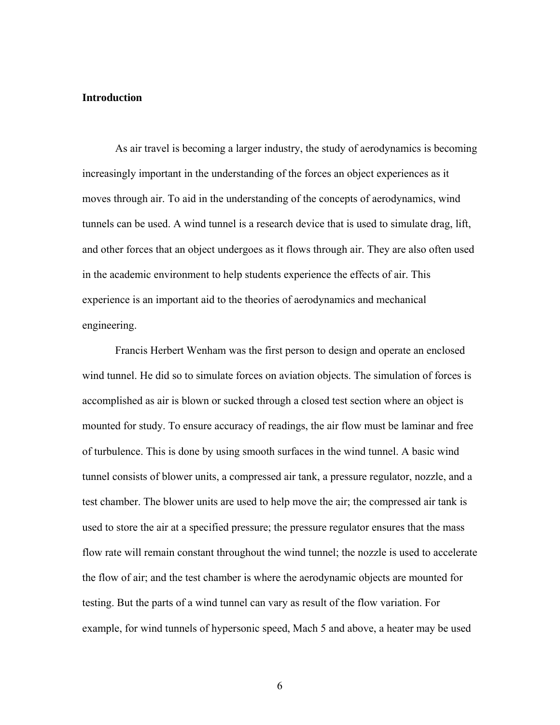#### **Introduction**

As air travel is becoming a larger industry, the study of aerodynamics is becoming increasingly important in the understanding of the forces an object experiences as it moves through air. To aid in the understanding of the concepts of aerodynamics, wind tunnels can be used. A wind tunnel is a research device that is used to simulate drag, lift, and other forces that an object undergoes as it flows through air. They are also often used in the academic environment to help students experience the effects of air. This experience is an important aid to the theories of aerodynamics and mechanical engineering.

Francis Herbert Wenham was the first person to design and operate an enclosed wind tunnel. He did so to simulate forces on aviation objects. The simulation of forces is accomplished as air is blown or sucked through a closed test section where an object is mounted for study. To ensure accuracy of readings, the air flow must be laminar and free of turbulence. This is done by using smooth surfaces in the wind tunnel. A basic wind tunnel consists of blower units, a compressed air tank, a pressure regulator, nozzle, and a test chamber. The blower units are used to help move the air; the compressed air tank is used to store the air at a specified pressure; the pressure regulator ensures that the mass flow rate will remain constant throughout the wind tunnel; the nozzle is used to accelerate the flow of air; and the test chamber is where the aerodynamic objects are mounted for testing. But the parts of a wind tunnel can vary as result of the flow variation. For example, for wind tunnels of hypersonic speed, Mach 5 and above, a heater may be used

6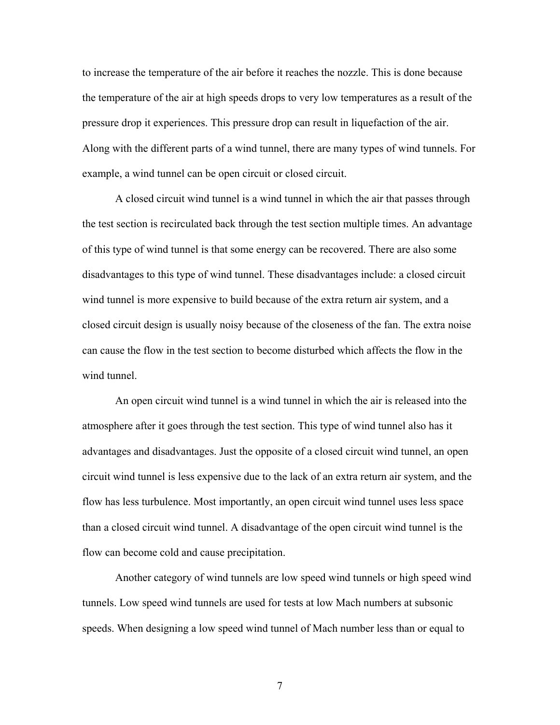to increase the temperature of the air before it reaches the nozzle. This is done because the temperature of the air at high speeds drops to very low temperatures as a result of the pressure drop it experiences. This pressure drop can result in liquefaction of the air. Along with the different parts of a wind tunnel, there are many types of wind tunnels. For example, a wind tunnel can be open circuit or closed circuit.

 A closed circuit wind tunnel is a wind tunnel in which the air that passes through the test section is recirculated back through the test section multiple times. An advantage of this type of wind tunnel is that some energy can be recovered. There are also some disadvantages to this type of wind tunnel. These disadvantages include: a closed circuit wind tunnel is more expensive to build because of the extra return air system, and a closed circuit design is usually noisy because of the closeness of the fan. The extra noise can cause the flow in the test section to become disturbed which affects the flow in the wind tunnel

 An open circuit wind tunnel is a wind tunnel in which the air is released into the atmosphere after it goes through the test section. This type of wind tunnel also has it advantages and disadvantages. Just the opposite of a closed circuit wind tunnel, an open circuit wind tunnel is less expensive due to the lack of an extra return air system, and the flow has less turbulence. Most importantly, an open circuit wind tunnel uses less space than a closed circuit wind tunnel. A disadvantage of the open circuit wind tunnel is the flow can become cold and cause precipitation.

 Another category of wind tunnels are low speed wind tunnels or high speed wind tunnels. Low speed wind tunnels are used for tests at low Mach numbers at subsonic speeds. When designing a low speed wind tunnel of Mach number less than or equal to

7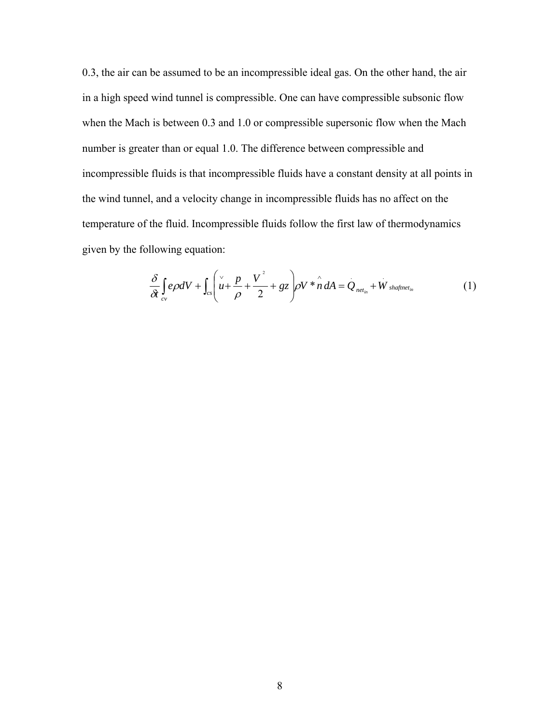0.3, the air can be assumed to be an incompressible ideal gas. On the other hand, the air in a high speed wind tunnel is compressible. One can have compressible subsonic flow when the Mach is between 0.3 and 1.0 or compressible supersonic flow when the Mach number is greater than or equal 1.0. The difference between compressible and incompressible fluids is that incompressible fluids have a constant density at all points in the wind tunnel, and a velocity change in incompressible fluids has no affect on the temperature of the fluid. Incompressible fluids follow the first law of thermodynamics given by the following equation:

$$
\frac{\delta}{\delta t} \int_{cv} e\rho dV + \int_{cs} \left( \frac{v}{\rho} + \frac{V^2}{2} + gz \right) \rho V \ast \hat{n} dA = Q_{net_{in}} + \dot{W}_{shaffnet_{in}} \tag{1}
$$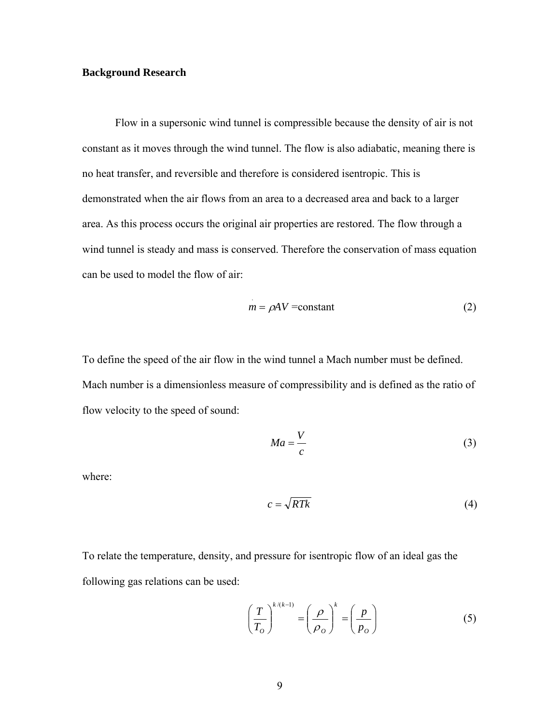#### **Background Research**

Flow in a supersonic wind tunnel is compressible because the density of air is not constant as it moves through the wind tunnel. The flow is also adiabatic, meaning there is no heat transfer, and reversible and therefore is considered isentropic. This is demonstrated when the air flows from an area to a decreased area and back to a larger area. As this process occurs the original air properties are restored. The flow through a wind tunnel is steady and mass is conserved. Therefore the conservation of mass equation can be used to model the flow of air:

$$
m = \rho A V = \text{constant} \tag{2}
$$

To define the speed of the air flow in the wind tunnel a Mach number must be defined. Mach number is a dimensionless measure of compressibility and is defined as the ratio of flow velocity to the speed of sound:

$$
Ma = \frac{V}{c} \tag{3}
$$

where:

$$
c = \sqrt{RTk} \tag{4}
$$

To relate the temperature, density, and pressure for isentropic flow of an ideal gas the following gas relations can be used:

$$
\left(\frac{T}{T_o}\right)^{k/(k-1)} = \left(\frac{\rho}{\rho_o}\right)^k = \left(\frac{p}{p_o}\right)
$$
\n(5)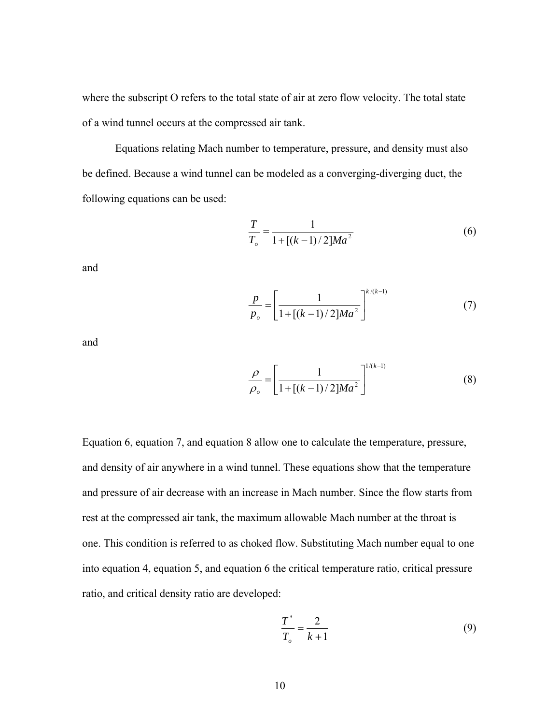where the subscript O refers to the total state of air at zero flow velocity. The total state of a wind tunnel occurs at the compressed air tank.

Equations relating Mach number to temperature, pressure, and density must also be defined. Because a wind tunnel can be modeled as a converging-diverging duct, the following equations can be used:

$$
\frac{T}{T_o} = \frac{1}{1 + [(k-1)/2]Ma^2}
$$
 (6)

and

$$
\frac{p}{p_o} = \left[\frac{1}{1 + [(k-1)/2]Ma^2}\right]^{k/(k-1)}
$$
(7)

and

$$
\frac{\rho}{\rho_o} = \left[ \frac{1}{1 + [(k-1)/2]Ma^2} \right]^{1/(k-1)}
$$
(8)

Equation 6, equation 7, and equation 8 allow one to calculate the temperature, pressure, and density of air anywhere in a wind tunnel. These equations show that the temperature and pressure of air decrease with an increase in Mach number. Since the flow starts from rest at the compressed air tank, the maximum allowable Mach number at the throat is one. This condition is referred to as choked flow. Substituting Mach number equal to one into equation 4, equation 5, and equation 6 the critical temperature ratio, critical pressure ratio, and critical density ratio are developed:

$$
\frac{T^*}{T_o} = \frac{2}{k+1}
$$
 (9)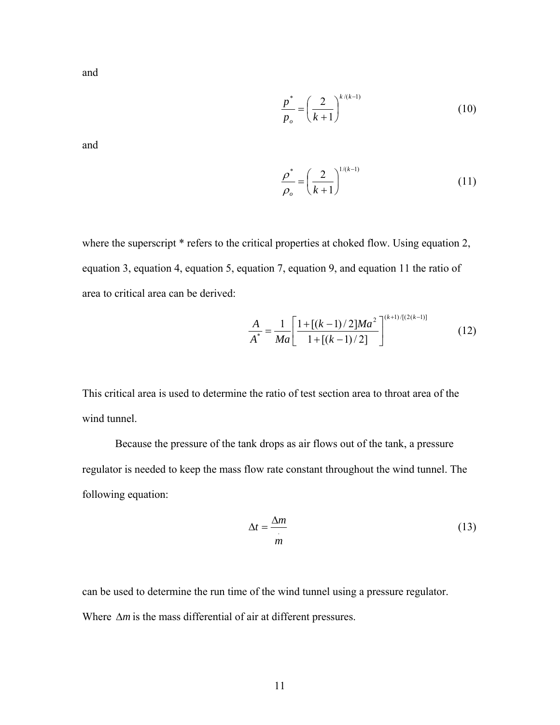and

$$
\frac{p^*}{p_o} = \left(\frac{2}{k+1}\right)^{k/(k-1)}
$$
\n(10)

and

$$
\frac{\rho^*}{\rho_o} = \left(\frac{2}{k+1}\right)^{1/(k-1)}
$$
\n(11)

where the superscript  $*$  refers to the critical properties at choked flow. Using equation 2, equation 3, equation 4, equation 5, equation 7, equation 9, and equation 11 the ratio of area to critical area can be derived:

$$
\frac{A}{A^*} = \frac{1}{Ma} \left[ \frac{1 + [(k-1)/2]Ma^2}{1 + [(k-1)/2]} \right]^{(k+1)/[(2(k-1))}
$$
(12)

This critical area is used to determine the ratio of test section area to throat area of the wind tunnel.

Because the pressure of the tank drops as air flows out of the tank, a pressure regulator is needed to keep the mass flow rate constant throughout the wind tunnel. The following equation:

$$
\Delta t = \frac{\Delta m}{m} \tag{13}
$$

can be used to determine the run time of the wind tunnel using a pressure regulator. Where Δ*m* is the mass differential of air at different pressures.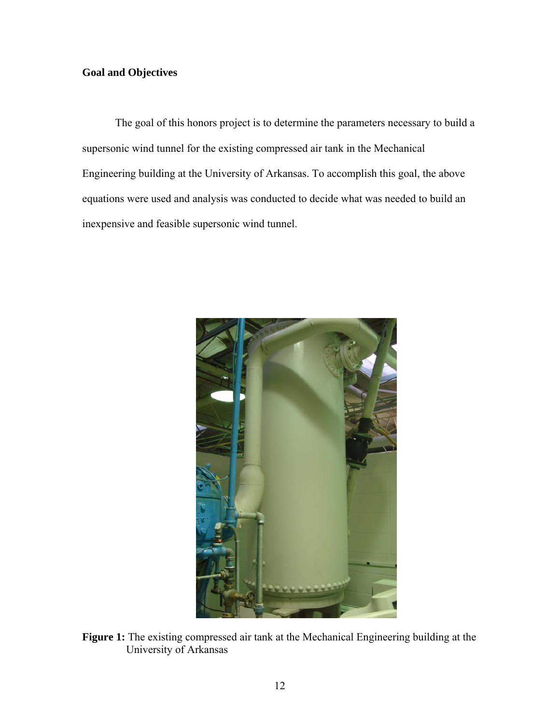# **Goal and Objectives**

The goal of this honors project is to determine the parameters necessary to build a supersonic wind tunnel for the existing compressed air tank in the Mechanical Engineering building at the University of Arkansas. To accomplish this goal, the above equations were used and analysis was conducted to decide what was needed to build an inexpensive and feasible supersonic wind tunnel.



**Figure 1:** The existing compressed air tank at the Mechanical Engineering building at the University of Arkansas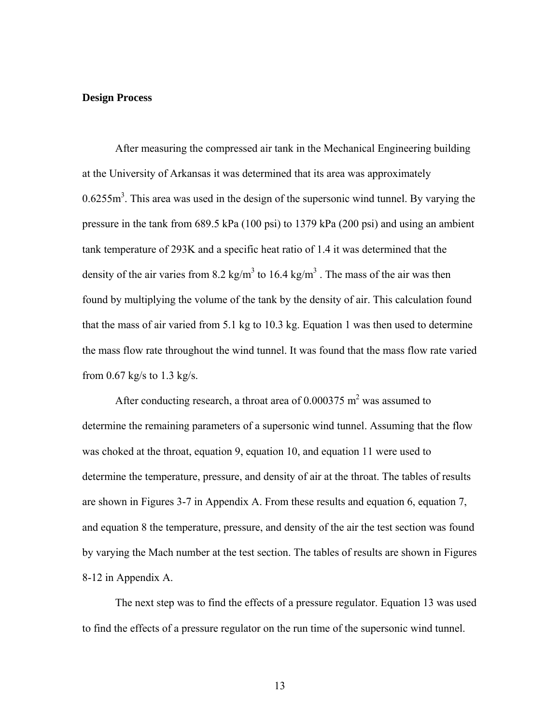#### **Design Process**

After measuring the compressed air tank in the Mechanical Engineering building at the University of Arkansas it was determined that its area was approximately  $0.6255m<sup>3</sup>$ . This area was used in the design of the supersonic wind tunnel. By varying the pressure in the tank from 689.5 kPa (100 psi) to 1379 kPa (200 psi) and using an ambient tank temperature of 293K and a specific heat ratio of 1.4 it was determined that the density of the air varies from 8.2 kg/m<sup>3</sup> to 16.4 kg/m<sup>3</sup>. The mass of the air was then found by multiplying the volume of the tank by the density of air. This calculation found that the mass of air varied from 5.1 kg to 10.3 kg. Equation 1 was then used to determine the mass flow rate throughout the wind tunnel. It was found that the mass flow rate varied from  $0.67$  kg/s to  $1.3$  kg/s.

After conducting research, a throat area of  $0.000375$  m<sup>2</sup> was assumed to determine the remaining parameters of a supersonic wind tunnel. Assuming that the flow was choked at the throat, equation 9, equation 10, and equation 11 were used to determine the temperature, pressure, and density of air at the throat. The tables of results are shown in Figures 3-7 in Appendix A. From these results and equation 6, equation 7, and equation 8 the temperature, pressure, and density of the air the test section was found by varying the Mach number at the test section. The tables of results are shown in Figures 8-12 in Appendix A.

The next step was to find the effects of a pressure regulator. Equation 13 was used to find the effects of a pressure regulator on the run time of the supersonic wind tunnel.

13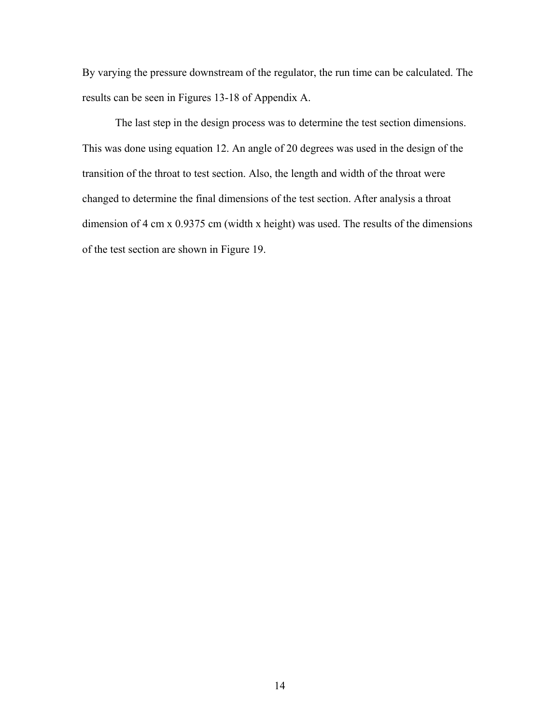By varying the pressure downstream of the regulator, the run time can be calculated. The results can be seen in Figures 13-18 of Appendix A.

The last step in the design process was to determine the test section dimensions. This was done using equation 12. An angle of 20 degrees was used in the design of the transition of the throat to test section. Also, the length and width of the throat were changed to determine the final dimensions of the test section. After analysis a throat dimension of 4 cm x 0.9375 cm (width x height) was used. The results of the dimensions of the test section are shown in Figure 19.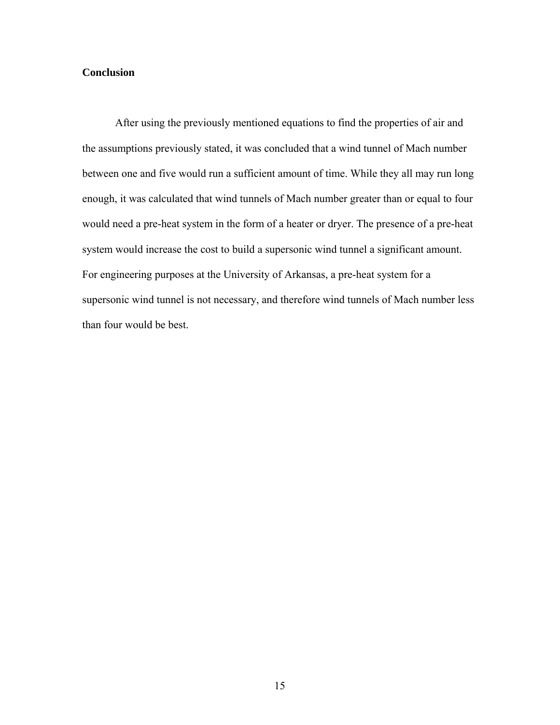### **Conclusion**

After using the previously mentioned equations to find the properties of air and the assumptions previously stated, it was concluded that a wind tunnel of Mach number between one and five would run a sufficient amount of time. While they all may run long enough, it was calculated that wind tunnels of Mach number greater than or equal to four would need a pre-heat system in the form of a heater or dryer. The presence of a pre-heat system would increase the cost to build a supersonic wind tunnel a significant amount. For engineering purposes at the University of Arkansas, a pre-heat system for a supersonic wind tunnel is not necessary, and therefore wind tunnels of Mach number less than four would be best.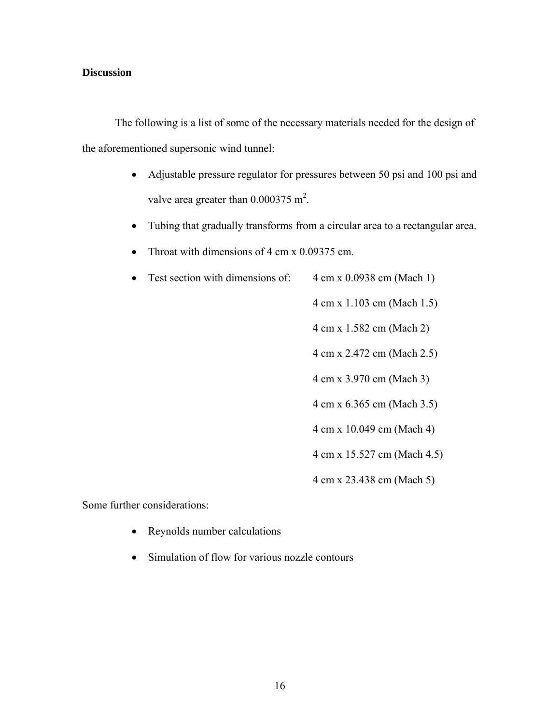### **Discussion**

 The following is a list of some of the necessary materials needed for the design of the aforementioned supersonic wind tunnel:

- Adjustable pressure regulator for pressures between 50 psi and 100 psi and valve area greater than  $0.000375 \text{ m}^2$ .
- Tubing that gradually transforms from a circular area to a rectangular area.
- Throat with dimensions of 4 cm x 0.09375 cm.
- Test section with dimensions of:  $4 \text{ cm} \times 0.0938 \text{ cm}$  (Mach 1)
	- 4 cm x 1.103 cm (Mach 1.5)

4 cm x 1.582 cm (Mach 2)

4 cm x 2.472 cm (Mach 2.5)

4 cm x 3.970 cm (Mach 3)

- 4 cm x 6.365 cm (Mach 3.5)
- 4 cm x 10.049 cm (Mach 4)

4 cm x 15.527 cm (Mach 4.5)

4 cm x 23.438 cm (Mach 5)

Some further considerations:

- Reynolds number calculations
- Simulation of flow for various nozzle contours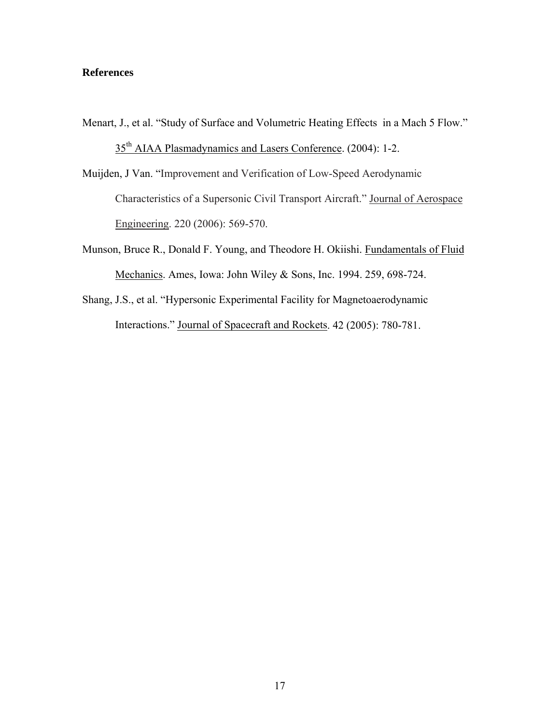### **References**

Menart, J., et al. "Study of Surface and Volumetric Heating Effects in a Mach 5 Flow."

35<sup>th</sup> AIAA Plasmadynamics and Lasers Conference. (2004): 1-2.

Muijden, J Van. "Improvement and Verification of Low-Speed Aerodynamic Characteristics of a Supersonic Civil Transport Aircraft." Journal of Aerospace Engineering. 220 (2006): 569-570.

- Munson, Bruce R., Donald F. Young, and Theodore H. Okiishi. Fundamentals of Fluid Mechanics. Ames, Iowa: John Wiley & Sons, Inc. 1994. 259, 698-724.
- Shang, J.S., et al. "Hypersonic Experimental Facility for Magnetoaerodynamic Interactions." Journal of Spacecraft and Rockets. 42 (2005): 780-781.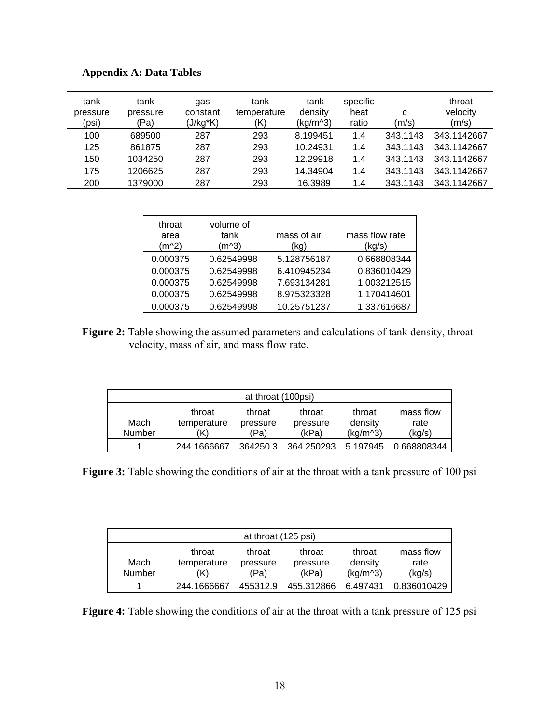| tank<br>pressure<br>(psi) | tank<br>pressure<br>(Pa) | gas<br>constant<br>(J/kg*K) | tank<br>temperature<br>(K) | tank<br>density<br>(kg/m <sup>2</sup> ) | specific<br>heat<br>ratio | с<br>(m/s) | throat<br>velocity<br>(m/s) |
|---------------------------|--------------------------|-----------------------------|----------------------------|-----------------------------------------|---------------------------|------------|-----------------------------|
| 100                       | 689500                   | 287                         | 293                        | 8.199451                                | 1.4                       | 343.1143   | 343.1142667                 |
| 125                       | 861875                   | 287                         | 293                        | 10.24931                                | 1.4                       | 343.1143   | 343.1142667                 |
| 150                       | 1034250                  | 287                         | 293                        | 12.29918                                | 1.4                       | 343.1143   | 343.1142667                 |
| 175                       | 1206625                  | 287                         | 293                        | 14.34904                                | 1.4                       | 343.1143   | 343.1142667                 |
| 200                       | 1379000                  | 287                         | 293                        | 16.3989                                 | 1.4                       | 343.1143   | 343.1142667                 |

| <b>Appendix A: Data Tables</b> |  |  |  |
|--------------------------------|--|--|--|
|--------------------------------|--|--|--|

| throat<br>area<br>(m^2) | volume of<br>tank<br>(m^3) | mass of air<br>(kg) | mass flow rate<br>(kg/s) |
|-------------------------|----------------------------|---------------------|--------------------------|
| 0.000375                | 0.62549998                 | 5.128756187         | 0.668808344              |
| 0.000375                | 0.62549998                 | 6.410945234         | 0.836010429              |
| 0.000375                | 0.62549998                 | 7.693134281         | 1.003212515              |
| 0.000375                | 0.62549998                 | 8.975323328         | 1.170414601              |
| 0.000375                | 0.62549998                 | 10.25751237         | 1.337616687              |

Figure 2: Table showing the assumed parameters and calculations of tank density, throat velocity, mass of air, and mass flow rate.

| at throat (100psi)                                |             |          |            |                      |             |  |  |
|---------------------------------------------------|-------------|----------|------------|----------------------|-------------|--|--|
| mass flow<br>throat<br>throat<br>throat<br>throat |             |          |            |                      |             |  |  |
| Mach                                              | temperature | pressure | pressure   | density              | rate        |  |  |
| Number                                            | K)          | (Pa)     | (kPa)      | (kq/m <sup>2</sup> ) | (kg/s)      |  |  |
|                                                   | 244.1666667 | 364250.3 | 364.250293 | 5.197945             | 0.668808344 |  |  |

**Figure 3:** Table showing the conditions of air at the throat with a tank pressure of 100 psi

| at throat (125 psi)                               |             |          |            |                      |             |  |  |
|---------------------------------------------------|-------------|----------|------------|----------------------|-------------|--|--|
| mass flow<br>throat<br>throat<br>throat<br>throat |             |          |            |                      |             |  |  |
| Mach                                              | temperature | pressure | pressure   | density              | rate        |  |  |
| Number                                            | K)          | (Pa)     | (kPa)      | (kq/m <sup>2</sup> ) | (kg/s)      |  |  |
|                                                   | 244.1666667 | 455312.9 | 455.312866 | 6.497431             | 0.836010429 |  |  |

Figure 4: Table showing the conditions of air at the throat with a tank pressure of 125 psi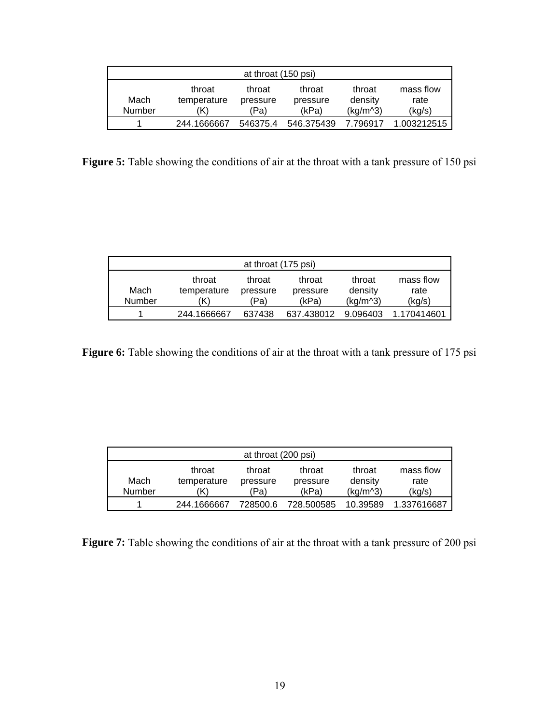| at throat (150 psi) |                       |                    |                   |                      |             |  |  |
|---------------------|-----------------------|--------------------|-------------------|----------------------|-------------|--|--|
| Mach                | throat<br>temperature | throat<br>pressure | throat<br>density | mass flow<br>rate    |             |  |  |
| Number              | K)                    | 'Pa)               | (kPa)             | (kq/m <sup>2</sup> ) | (kg/s)      |  |  |
|                     | 244.1666667           | 546375.4           | 546.375439        | 7.796917             | 1.003212515 |  |  |

Figure 5: Table showing the conditions of air at the throat with a tank pressure of 150 psi

| at throat (175 psi) |                              |                            |                             |                                           |                             |  |  |
|---------------------|------------------------------|----------------------------|-----------------------------|-------------------------------------------|-----------------------------|--|--|
| Mach<br>Number      | throat<br>temperature<br>'K) | throat<br>pressure<br>(Pa) | throat<br>pressure<br>(kPa) | throat<br>density<br>(kq/m <sup>3</sup> ) | mass flow<br>rate<br>(kg/s) |  |  |
|                     | 244.1666667                  | 637438                     | 637.438012                  | 9.096403                                  | 1.170414601                 |  |  |

Figure 6: Table showing the conditions of air at the throat with a tank pressure of 175 psi

| at throat (200 psi) |                       |                    |                    |                      |                   |  |  |
|---------------------|-----------------------|--------------------|--------------------|----------------------|-------------------|--|--|
| Mach                | throat<br>temperature | throat<br>pressure | throat<br>pressure | throat<br>density    | mass flow<br>rate |  |  |
| Number              | 'K)                   | (Pa)               | (kPa)              | (kq/m <sup>2</sup> ) | (kg/s)            |  |  |
|                     | 244.1666667           | 728500.6           | 728.500585         | 10.39589             | 1.337616687       |  |  |

Figure 7: Table showing the conditions of air at the throat with a tank pressure of 200 psi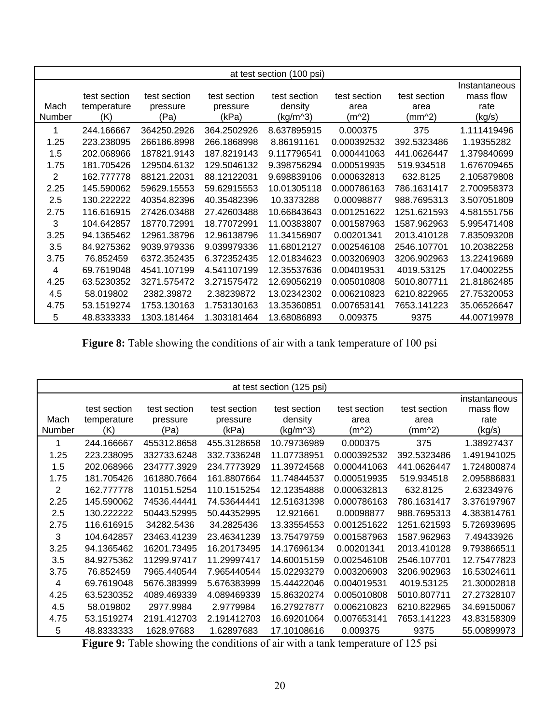|        | at test section (100 psi)   |                          |                          |                         |                      |                      |                                    |
|--------|-----------------------------|--------------------------|--------------------------|-------------------------|----------------------|----------------------|------------------------------------|
| Mach   | test section<br>temperature | test section<br>pressure | test section<br>pressure | test section<br>density | test section<br>area | test section<br>area | Instantaneous<br>mass flow<br>rate |
| Number | (K)                         | (Pa)                     | (kPa)                    | (kg/m <sup>2</sup> )    | (m^2)                | (mm^2)               | (kg/s)                             |
| 1      | 244.166667                  | 364250.2926              | 364.2502926              | 8.637895915             | 0.000375             | 375                  | 1.111419496                        |
| 1.25   | 223.238095                  | 266186.8998              | 266.1868998              | 8.86191161              | 0.000392532          | 392.5323486          | 1.19355282                         |
| 1.5    | 202.068966                  | 187821.9143              | 187.8219143              | 9.117796541             | 0.000441063          | 441.0626447          | 1.379840699                        |
| 1.75   | 181.705426                  | 129504.6132              | 129.5046132              | 9.398756294             | 0.000519935          | 519.934518           | 1.676709465                        |
| 2      | 162.777778                  | 88121.22031              | 88.12122031              | 9.698839106             | 0.000632813          | 632.8125             | 2.105879808                        |
| 2.25   | 145.590062                  | 59629.15553              | 59.62915553              | 10.01305118             | 0.000786163          | 786.1631417          | 2.700958373                        |
| 2.5    | 130.222222                  | 40354.82396              | 40.35482396              | 10.3373288              | 0.00098877           | 988.7695313          | 3.507051809                        |
| 2.75   | 116.616915                  | 27426.03488              | 27.42603488              | 10.66843643             | 0.001251622          | 1251.621593          | 4.581551756                        |
| 3      | 104.642857                  | 18770.72991              | 18.77072991              | 11.00383807             | 0.001587963          | 1587.962963          | 5.995471408                        |
| 3.25   | 94.1365462                  | 12961.38796              | 12.96138796              | 11.34156907             | 0.00201341           | 2013.410128          | 7.835093208                        |
| 3.5    | 84.9275362                  | 9039.979336              | 9.039979336              | 11.68012127             | 0.002546108          | 2546.107701          | 10.20382258                        |
| 3.75   | 76.852459                   | 6372.352435              | 6.372352435              | 12.01834623             | 0.003206903          | 3206.902963          | 13.22419689                        |
| 4      | 69.7619048                  | 4541.107199              | 4.541107199              | 12.35537636             | 0.004019531          | 4019.53125           | 17.04002255                        |
| 4.25   | 63.5230352                  | 3271.575472              | 3.271575472              | 12.69056219             | 0.005010808          | 5010.807711          | 21.81862485                        |
| 4.5    | 58.019802                   | 2382.39872               | 2.38239872               | 13.02342302             | 0.006210823          | 6210.822965          | 27.75320053                        |
| 4.75   | 53.1519274                  | 1753.130163              | 1.753130163              | 13.35360851             | 0.007653141          | 7653.141223          | 35.06526647                        |
| 5      | 48.8333333                  | 1303.181464              | 1.303181464              | 13.68086893             | 0.009375             | 9375                 | 44.00719978                        |

Figure 8: Table showing the conditions of air with a tank temperature of 100 psi

| at test section (125 psi) |                                    |                                  |                                   |                                     |                               |                                |                                              |
|---------------------------|------------------------------------|----------------------------------|-----------------------------------|-------------------------------------|-------------------------------|--------------------------------|----------------------------------------------|
| Mach<br>Number            | test section<br>temperature<br>(K) | test section<br>pressure<br>(Pa) | test section<br>pressure<br>(kPa) | test section<br>density<br>(kg/m^3) | test section<br>area<br>(m^2) | test section<br>area<br>(mm^2) | instantaneous<br>mass flow<br>rate<br>(kg/s) |
|                           | 244.166667                         | 455312.8658                      | 455.3128658                       | 10.79736989                         | 0.000375                      | 375                            | 1.38927437                                   |
| 1.25                      | 223.238095                         | 332733.6248                      | 332.7336248                       | 11.07738951                         | 0.000392532                   | 392.5323486                    | 1.491941025                                  |
| 1.5                       | 202.068966                         | 234777.3929                      | 234.7773929                       | 11.39724568                         | 0.000441063                   | 441.0626447                    | 1.724800874                                  |
| 1.75                      | 181.705426                         | 161880.7664                      | 161.8807664                       | 11.74844537                         | 0.000519935                   | 519.934518                     | 2.095886831                                  |
| $\overline{2}$            | 162.777778                         | 110151.5254                      | 110.1515254                       | 12.12354888                         | 0.000632813                   | 632.8125                       | 2.63234976                                   |
| 2.25                      | 145.590062                         | 74536.44441                      | 74.53644441                       | 12.51631398                         | 0.000786163                   | 786.1631417                    | 3.376197967                                  |
| 2.5                       | 130.222222                         | 50443.52995                      | 50.44352995                       | 12.921661                           | 0.00098877                    | 988.7695313                    | 4.383814761                                  |
| 2.75                      | 116.616915                         | 34282.5436                       | 34.2825436                        | 13.33554553                         | 0.001251622                   | 1251.621593                    | 5.726939695                                  |
| 3                         | 104.642857                         | 23463.41239                      | 23.46341239                       | 13.75479759                         | 0.001587963                   | 1587.962963                    | 7.49433926                                   |
| 3.25                      | 94.1365462                         | 16201.73495                      | 16.20173495                       | 14.17696134                         | 0.00201341                    | 2013.410128                    | 9.793866511                                  |
| 3.5                       | 84.9275362                         | 11299.97417                      | 11.29997417                       | 14.60015159                         | 0.002546108                   | 2546.107701                    | 12.75477823                                  |
| 3.75                      | 76.852459                          | 7965.440544                      | 7.965440544                       | 15.02293279                         | 0.003206903                   | 3206.902963                    | 16.53024611                                  |
| 4                         | 69.7619048                         | 5676.383999                      | 5.676383999                       | 15.44422046                         | 0.004019531                   | 4019.53125                     | 21.30002818                                  |
| 4.25                      | 63.5230352                         | 4089.469339                      | 4.089469339                       | 15.86320274                         | 0.005010808                   | 5010.807711                    | 27.27328107                                  |
| 4.5                       | 58.019802                          | 2977.9984                        | 2.9779984                         | 16.27927877                         | 0.006210823                   | 6210.822965                    | 34.69150067                                  |
| 4.75                      | 53.1519274                         | 2191.412703                      | 2.191412703                       | 16.69201064                         | 0.007653141                   | 7653.141223                    | 43.83158309                                  |
| 5                         | 48.8333333                         | 1628.97683                       | 1.62897683                        | 17.10108616                         | 0.009375                      | 9375                           | 55.00899973                                  |

**Figure 9:** Table showing the conditions of air with a tank temperature of 125 psi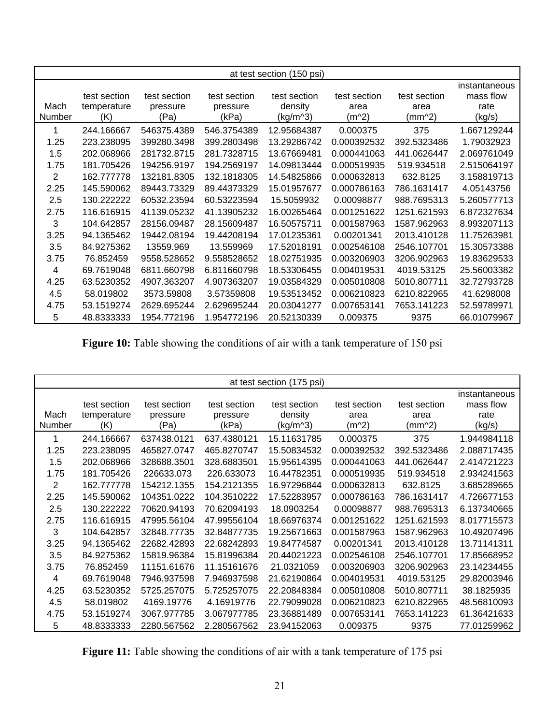|        | at test section (150 psi) |              |              |              |              |              |               |
|--------|---------------------------|--------------|--------------|--------------|--------------|--------------|---------------|
|        |                           |              |              |              |              |              |               |
|        |                           |              |              |              |              |              | instantaneous |
|        | test section              | test section | test section | test section | test section | test section | mass flow     |
| Mach   | temperature               | pressure     | pressure     | density      | area         | area         | rate          |
| Number | (K)                       | (Pa)         | (kPa)        | $(kg/m^{3})$ | (m^2)        | (mm^2)       | (kg/s)        |
| 1      | 244.166667                | 546375.4389  | 546.3754389  | 12.95684387  | 0.000375     | 375          | 1.667129244   |
| 1.25   | 223.238095                | 399280.3498  | 399.2803498  | 13.29286742  | 0.000392532  | 392.5323486  | 1.79032923    |
| 1.5    | 202.068966                | 281732.8715  | 281.7328715  | 13.67669481  | 0.000441063  | 441.0626447  | 2.069761049   |
| 1.75   | 181.705426                | 194256.9197  | 194.2569197  | 14.09813444  | 0.000519935  | 519.934518   | 2.515064197   |
| 2      | 162.777778                | 132181.8305  | 132.1818305  | 14.54825866  | 0.000632813  | 632.8125     | 3.158819713   |
| 2.25   | 145.590062                | 89443.73329  | 89.44373329  | 15.01957677  | 0.000786163  | 786.1631417  | 4.05143756    |
| 2.5    | 130.222222                | 60532.23594  | 60.53223594  | 15.5059932   | 0.00098877   | 988.7695313  | 5.260577713   |
| 2.75   | 116.616915                | 41139.05232  | 41.13905232  | 16.00265464  | 0.001251622  | 1251.621593  | 6.872327634   |
| 3      | 104.642857                | 28156.09487  | 28.15609487  | 16.50575711  | 0.001587963  | 1587.962963  | 8.993207113   |
| 3.25   | 94.1365462                | 19442.08194  | 19.44208194  | 17.01235361  | 0.00201341   | 2013.410128  | 11.75263981   |
| 3.5    | 84.9275362                | 13559.969    | 13.559969    | 17.52018191  | 0.002546108  | 2546.107701  | 15.30573388   |
| 3.75   | 76.852459                 | 9558.528652  | 9.558528652  | 18.02751935  | 0.003206903  | 3206.902963  | 19.83629533   |
| 4      | 69.7619048                | 6811.660798  | 6.811660798  | 18.53306455  | 0.004019531  | 4019.53125   | 25.56003382   |
| 4.25   | 63.5230352                | 4907.363207  | 4.907363207  | 19.03584329  | 0.005010808  | 5010.807711  | 32.72793728   |
| 4.5    | 58.019802                 | 3573.59808   | 3.57359808   | 19.53513452  | 0.006210823  | 6210.822965  | 41.6298008    |
| 4.75   | 53.1519274                | 2629.695244  | 2.629695244  | 20.03041277  | 0.007653141  | 7653.141223  | 52.59789971   |
| 5      | 48.8333333                | 1954.772196  | 1.954772196  | 20.52130339  | 0.009375     | 9375         | 66.01079967   |

Figure 10: Table showing the conditions of air with a tank temperature of 150 psi

|                       | at test section (175 psi)          |                                  |                                   |                                     |                                 |                                |                                              |
|-----------------------|------------------------------------|----------------------------------|-----------------------------------|-------------------------------------|---------------------------------|--------------------------------|----------------------------------------------|
| Mach<br><b>Number</b> | test section<br>temperature<br>(K) | test section<br>pressure<br>(Pa) | test section<br>pressure<br>(kPa) | test section<br>density<br>(kg/m^3) | test section<br>area<br>$(m^2)$ | test section<br>area<br>(mm^2) | instantaneous<br>mass flow<br>rate<br>(kg/s) |
|                       | 244.166667                         | 637438.0121                      | 637.4380121                       | 15.11631785                         | 0.000375                        | 375                            | 1.944984118                                  |
| 1.25                  | 223.238095                         | 465827.0747                      | 465.8270747                       | 15.50834532                         | 0.000392532                     | 392.5323486                    | 2.088717435                                  |
| 1.5                   | 202.068966                         | 328688.3501                      | 328.6883501                       | 15.95614395                         | 0.000441063                     | 441.0626447                    | 2.414721223                                  |
| 1.75                  | 181.705426                         | 226633.073                       | 226.633073                        | 16.44782351                         | 0.000519935                     | 519.934518                     | 2.934241563                                  |
| 2                     | 162.777778                         | 154212.1355                      | 154.2121355                       | 16.97296844                         | 0.000632813                     | 632.8125                       | 3.685289665                                  |
| 2.25                  | 145.590062                         | 104351.0222                      | 104.3510222                       | 17.52283957                         | 0.000786163                     | 786.1631417                    | 4.726677153                                  |
| 2.5                   | 130.222222                         | 70620.94193                      | 70.62094193                       | 18.0903254                          | 0.00098877                      | 988.7695313                    | 6.137340665                                  |
| 2.75                  | 116.616915                         | 47995.56104                      | 47.99556104                       | 18.66976374                         | 0.001251622                     | 1251.621593                    | 8.017715573                                  |
| 3                     | 104.642857                         | 32848.77735                      | 32.84877735                       | 19.25671663                         | 0.001587963                     | 1587.962963                    | 10.49207496                                  |
| 3.25                  | 94.1365462                         | 22682.42893                      | 22.68242893                       | 19.84774587                         | 0.00201341                      | 2013.410128                    | 13.71141311                                  |
| 3.5                   | 84.9275362                         | 15819.96384                      | 15.81996384                       | 20.44021223                         | 0.002546108                     | 2546.107701                    | 17.85668952                                  |
| 3.75                  | 76.852459                          | 11151.61676                      | 11.15161676                       | 21.0321059                          | 0.003206903                     | 3206.902963                    | 23.14234455                                  |
| 4                     | 69.7619048                         | 7946.937598                      | 7.946937598                       | 21.62190864                         | 0.004019531                     | 4019.53125                     | 29.82003946                                  |
| 4.25                  | 63.5230352                         | 5725.257075                      | 5.725257075                       | 22.20848384                         | 0.005010808                     | 5010.807711                    | 38.1825935                                   |
| 4.5                   | 58.019802                          | 4169.19776                       | 4.16919776                        | 22.79099028                         | 0.006210823                     | 6210.822965                    | 48.56810093                                  |
| 4.75                  | 53.1519274                         | 3067.977785                      | 3.067977785                       | 23.36881489                         | 0.007653141                     | 7653.141223                    | 61.36421633                                  |
| 5                     | 48.8333333                         | 2280.567562                      | 2.280567562                       | 23.94152063                         | 0.009375                        | 9375                           | 77.01259962                                  |

Figure 11: Table showing the conditions of air with a tank temperature of 175 psi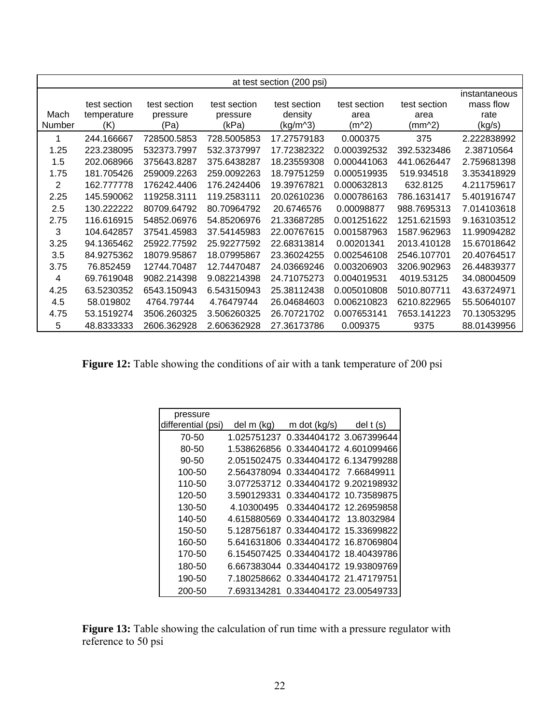|                | at test section (200 psi) |              |              |              |              |              |               |
|----------------|---------------------------|--------------|--------------|--------------|--------------|--------------|---------------|
|                |                           |              |              |              |              |              | instantaneous |
|                | test section              | test section | test section | test section | test section | test section | mass flow     |
| Mach           | temperature               | pressure     | pressure     | density      | area         | area         | rate          |
| Number         | (K)                       | (Pa)         | (kPa)        | (kg/m^3)     | (m^2)        | (mm^2)       | (kg/s)        |
|                | 244.166667                | 728500.5853  | 728.5005853  | 17.27579183  | 0.000375     | 375          | 2.222838992   |
| 1.25           | 223.238095                | 532373.7997  | 532.3737997  | 17.72382322  | 0.000392532  | 392.5323486  | 2.38710564    |
| 1.5            | 202.068966                | 375643.8287  | 375.6438287  | 18.23559308  | 0.000441063  | 441.0626447  | 2.759681398   |
| 1.75           | 181.705426                | 259009.2263  | 259.0092263  | 18.79751259  | 0.000519935  | 519.934518   | 3.353418929   |
| $\overline{2}$ | 162.777778                | 176242.4406  | 176.2424406  | 19.39767821  | 0.000632813  | 632.8125     | 4.211759617   |
| 2.25           | 145.590062                | 119258.3111  | 119.2583111  | 20.02610236  | 0.000786163  | 786.1631417  | 5.401916747   |
| 2.5            | 130.222222                | 80709.64792  | 80.70964792  | 20.6746576   | 0.00098877   | 988.7695313  | 7.014103618   |
| 2.75           | 116.616915                | 54852.06976  | 54.85206976  | 21.33687285  | 0.001251622  | 1251.621593  | 9.163103512   |
| 3              | 104.642857                | 37541.45983  | 37.54145983  | 22.00767615  | 0.001587963  | 1587.962963  | 11.99094282   |
| 3.25           | 94.1365462                | 25922.77592  | 25.92277592  | 22.68313814  | 0.00201341   | 2013.410128  | 15.67018642   |
| 3.5            | 84.9275362                | 18079.95867  | 18.07995867  | 23.36024255  | 0.002546108  | 2546.107701  | 20.40764517   |
| 3.75           | 76.852459                 | 12744.70487  | 12.74470487  | 24.03669246  | 0.003206903  | 3206.902963  | 26.44839377   |
| 4              | 69.7619048                | 9082.214398  | 9.082214398  | 24.71075273  | 0.004019531  | 4019.53125   | 34.08004509   |
| 4.25           | 63.5230352                | 6543.150943  | 6.543150943  | 25.38112438  | 0.005010808  | 5010.807711  | 43.63724971   |
| 4.5            | 58.019802                 | 4764.79744   | 4.76479744   | 26.04684603  | 0.006210823  | 6210.822965  | 55.50640107   |
| 4.75           | 53.1519274                | 3506.260325  | 3.506260325  | 26.70721702  | 0.007653141  | 7653.141223  | 70.13053295   |
| 5              | 48.8333333                | 2606.362928  | 2.606362928  | 27.36173786  | 0.009375     | 9375         | 88.01439956   |

Figure 12: Table showing the conditions of air with a tank temperature of 200 psi

| pressure           |             |                            |                         |
|--------------------|-------------|----------------------------|-------------------------|
| differential (psi) | del m (kg)  | m dot $(kg/s)$ del t $(s)$ |                         |
| 70-50              | 1.025751237 | 0.334404172 3.067399644    |                         |
| 80-50              | 1.538626856 |                            | 0.334404172 4.601099466 |
| 90-50              | 2.051502475 |                            | 0.334404172 6.134799288 |
| 100-50             | 2.564378094 | 0.334404172 7.66849911     |                         |
| 110-50             | 3.077253712 |                            | 0.334404172 9.202198932 |
| 120-50             | 3.590129331 |                            | 0.334404172 10.73589875 |
| 130-50             | 4.10300495  |                            | 0.334404172 12.26959858 |
| 140-50             | 4.615880569 | 0.334404172 13.8032984     |                         |
| 150-50             | 5.128756187 |                            | 0.334404172 15.33699822 |
| 160-50             | 5.641631806 | 0.334404172 16.87069804    |                         |
| 170-50             | 6.154507425 |                            | 0.334404172 18.40439786 |
| 180-50             | 6.667383044 | 0.334404172 19.93809769    |                         |
| 190-50             | 7.180258662 | 0.334404172 21.47179751    |                         |
| 200-50             | 7.693134281 |                            | 0.334404172 23.00549733 |

Figure 13: Table showing the calculation of run time with a pressure regulator with reference to 50 psi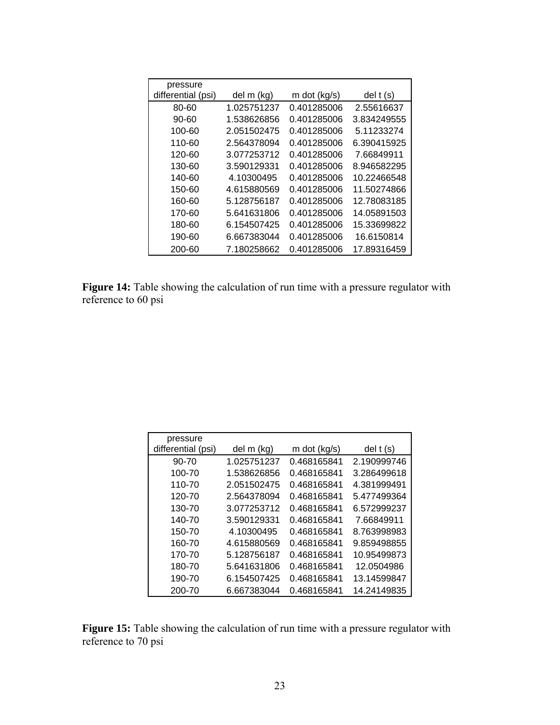| pressure           |             |              |             |
|--------------------|-------------|--------------|-------------|
| differential (psi) | del m (kg)  | m dot (kg/s) | $del$ t (s) |
| 80-60              | 1.025751237 | 0.401285006  | 2.55616637  |
| 90-60              | 1.538626856 | 0.401285006  | 3.834249555 |
| 100-60             | 2.051502475 | 0.401285006  | 5.11233274  |
| 110-60             | 2.564378094 | 0.401285006  | 6.390415925 |
| 120-60             | 3.077253712 | 0.401285006  | 7.66849911  |
| 130-60             | 3.590129331 | 0.401285006  | 8.946582295 |
| 140-60             | 4.10300495  | 0.401285006  | 10.22466548 |
| 150-60             | 4.615880569 | 0.401285006  | 11.50274866 |
| 160-60             | 5.128756187 | 0.401285006  | 12.78083185 |
| 170-60             | 5.641631806 | 0.401285006  | 14.05891503 |
| 180-60             | 6.154507425 | 0.401285006  | 15.33699822 |
| 190-60             | 6.667383044 | 0.401285006  | 16.6150814  |
| 200-60             | 7.180258662 | 0.401285006  | 17.89316459 |

**Figure 14:** Table showing the calculation of run time with a pressure regulator with reference to 60 psi

| pressure           |             |                |             |
|--------------------|-------------|----------------|-------------|
| differential (psi) | del m (kg)  | m dot $(kg/s)$ | $del$ t (s) |
| 90-70              | 1.025751237 | 0.468165841    | 2.190999746 |
| 100-70             | 1.538626856 | 0.468165841    | 3.286499618 |
| 110-70             | 2.051502475 | 0.468165841    | 4.381999491 |
| 120-70             | 2.564378094 | 0.468165841    | 5.477499364 |
| 130-70             | 3.077253712 | 0.468165841    | 6.572999237 |
| 140-70             | 3.590129331 | 0.468165841    | 7.66849911  |
| 150-70             | 4.10300495  | 0.468165841    | 8.763998983 |
| 160-70             | 4.615880569 | 0.468165841    | 9.859498855 |
| 170-70             | 5.128756187 | 0.468165841    | 10.95499873 |
| 180-70             | 5.641631806 | 0.468165841    | 12.0504986  |
| 190-70             | 6.154507425 | 0.468165841    | 13.14599847 |
| 200-70             | 6.667383044 | 0.468165841    | 14.24149835 |

**Figure 15:** Table showing the calculation of run time with a pressure regulator with reference to 70 psi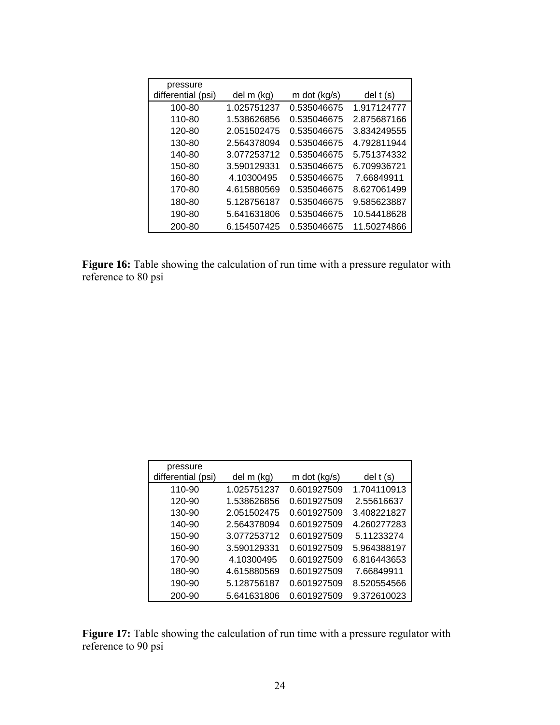| pressure           |             |              |             |
|--------------------|-------------|--------------|-------------|
| differential (psi) | del m (kg)  | m dot (kg/s) | $del$ t (s) |
| 100-80             | 1.025751237 | 0.535046675  | 1.917124777 |
| 110-80             | 1.538626856 | 0.535046675  | 2.875687166 |
| 120-80             | 2.051502475 | 0.535046675  | 3.834249555 |
| 130-80             | 2.564378094 | 0.535046675  | 4.792811944 |
| 140-80             | 3.077253712 | 0.535046675  | 5.751374332 |
| 150-80             | 3.590129331 | 0.535046675  | 6.709936721 |
| 160-80             | 4.10300495  | 0.535046675  | 7.66849911  |
| 170-80             | 4.615880569 | 0.535046675  | 8.627061499 |
| 180-80             | 5.128756187 | 0.535046675  | 9.585623887 |
| 190-80             | 5.641631806 | 0.535046675  | 10.54418628 |
| 200-80             | 6.154507425 | 0.535046675  | 11.50274866 |

**Figure 16:** Table showing the calculation of run time with a pressure regulator with reference to 80 psi

| pressure<br>differential (psi) | del m (kg)  | m dot (kg/s) | $del$ (s)   |
|--------------------------------|-------------|--------------|-------------|
|                                |             |              |             |
| 110-90                         | 1.025751237 | 0.601927509  | 1.704110913 |
| 120-90                         | 1.538626856 | 0.601927509  | 2.55616637  |
| 130-90                         | 2.051502475 | 0.601927509  | 3.408221827 |
| 140-90                         | 2.564378094 | 0.601927509  | 4.260277283 |
| 150-90                         | 3.077253712 | 0.601927509  | 5.11233274  |
| 160-90                         | 3.590129331 | 0.601927509  | 5.964388197 |
| 170-90                         | 4.10300495  | 0.601927509  | 6.816443653 |
| 180-90                         | 4.615880569 | 0.601927509  | 7.66849911  |
| 190-90                         | 5.128756187 | 0.601927509  | 8.520554566 |
| 200-90                         | 5.641631806 | 0.601927509  | 9.372610023 |

**Figure 17:** Table showing the calculation of run time with a pressure regulator with reference to 90 psi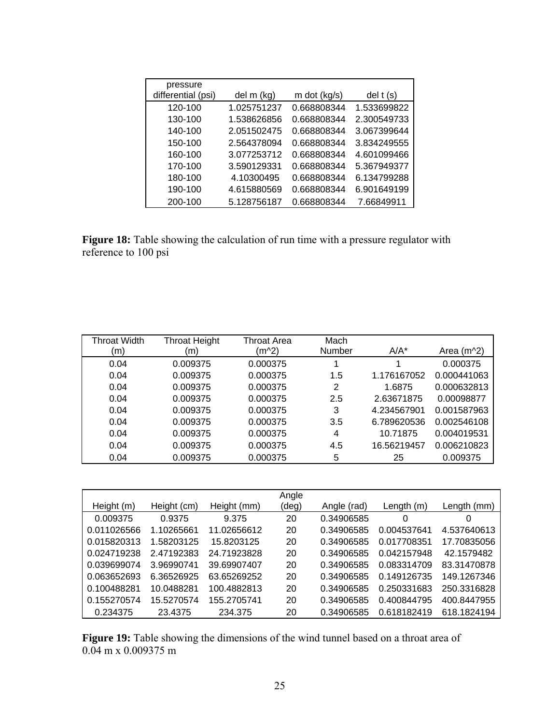| pressure           |             |              |             |
|--------------------|-------------|--------------|-------------|
| differential (psi) | del m (kg)  | m dot (kg/s) | $del$ t (s) |
| 120-100            | 1.025751237 | 0.668808344  | 1.533699822 |
| 130-100            | 1.538626856 | 0.668808344  | 2.300549733 |
| 140-100            | 2.051502475 | 0.668808344  | 3.067399644 |
| 150-100            | 2.564378094 | 0.668808344  | 3.834249555 |
| 160-100            | 3.077253712 | 0.668808344  | 4.601099466 |
| 170-100            | 3.590129331 | 0.668808344  | 5.367949377 |
| 180-100            | 4.10300495  | 0.668808344  | 6.134799288 |
| 190-100            | 4.615880569 | 0.668808344  | 6.901649199 |
| 200-100            | 5.128756187 | 0.668808344  | 7.66849911  |

**Figure 18:** Table showing the calculation of run time with a pressure regulator with reference to 100 psi

| Throat Width<br>(m) | <b>Throat Height</b><br>(m | Throat Area<br>(m^2) | Mach<br>Number | $A/A^*$     | Area $(m^2)$ |
|---------------------|----------------------------|----------------------|----------------|-------------|--------------|
| 0.04                | 0.009375                   | 0.000375             |                |             | 0.000375     |
| 0.04                | 0.009375                   | 0.000375             | 1.5            | 1.176167052 | 0.000441063  |
| 0.04                | 0.009375                   | 0.000375             | 2              | 1.6875      | 0.000632813  |
| 0.04                | 0.009375                   | 0.000375             | 2.5            | 2.63671875  | 0.00098877   |
| 0.04                | 0.009375                   | 0.000375             | 3              | 4.234567901 | 0.001587963  |
| 0.04                | 0.009375                   | 0.000375             | 3.5            | 6.789620536 | 0.002546108  |
| 0.04                | 0.009375                   | 0.000375             | 4              | 10.71875    | 0.004019531  |
| 0.04                | 0.009375                   | 0.000375             | 4.5            | 16.56219457 | 0.006210823  |
| 0.04                | 0.009375                   | 0.000375             | 5              | 25          | 0.009375     |

|             |             |             | Angle |             |              |             |
|-------------|-------------|-------------|-------|-------------|--------------|-------------|
| Height (m)  | Height (cm) | Height (mm) | (deg) | Angle (rad) | Length $(m)$ | Length (mm) |
| 0.009375    | 0.9375      | 9.375       | 20    | 0.34906585  | 0            | 0           |
| 0.011026566 | 1.10265661  | 11.02656612 | 20    | 0.34906585  | 0.004537641  | 4.537640613 |
| 0.015820313 | 1.58203125  | 15.8203125  | 20    | 0.34906585  | 0.017708351  | 17.70835056 |
| 0.024719238 | 2.47192383  | 24.71923828 | 20    | 0.34906585  | 0.042157948  | 42.1579482  |
| 0.039699074 | 3.96990741  | 39.69907407 | 20    | 0.34906585  | 0.083314709  | 83.31470878 |
| 0.063652693 | 6.36526925  | 63.65269252 | 20    | 0.34906585  | 0.149126735  | 149.1267346 |
| 0.100488281 | 10.0488281  | 100.4882813 | 20    | 0.34906585  | 0.250331683  | 250.3316828 |
| 0.155270574 | 15.5270574  | 155.2705741 | 20    | 0.34906585  | 0.400844795  | 400.8447955 |
| 0.234375    | 23.4375     | 234.375     | 20    | 0.34906585  | 0.618182419  | 618.1824194 |

Figure 19: Table showing the dimensions of the wind tunnel based on a throat area of 0.04 m x 0.009375 m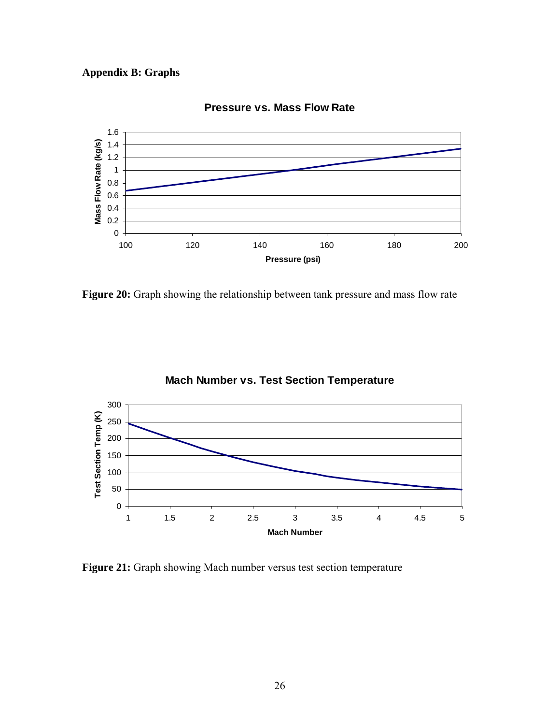# **Appendix B: Graphs**



**Pressure vs. Mass Flow Rate**

Figure 20: Graph showing the relationship between tank pressure and mass flow rate



**Mach Number vs. Test Section Temperature**

Figure 21: Graph showing Mach number versus test section temperature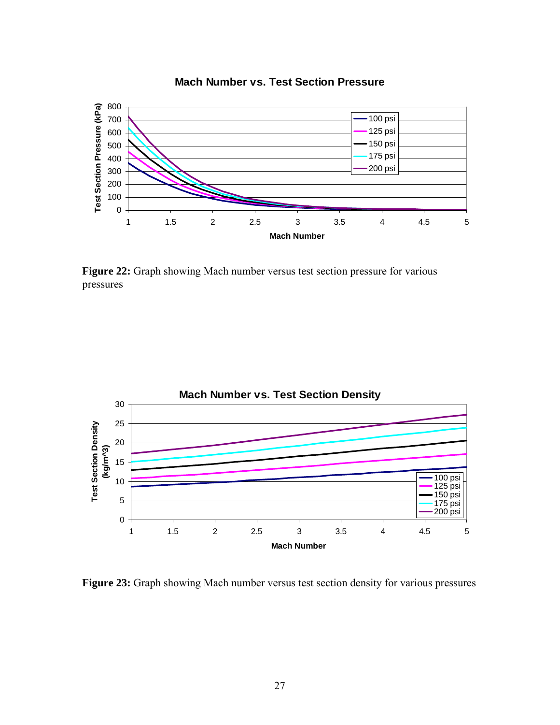

## **Mach Number vs. Test Section Pressure**

Figure 22: Graph showing Mach number versus test section pressure for various pressures



Figure 23: Graph showing Mach number versus test section density for various pressures